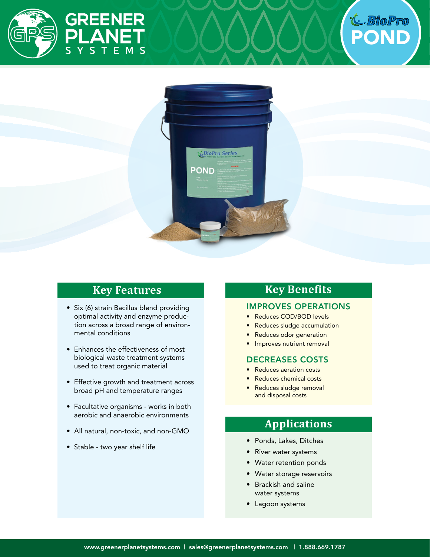





## **Key Features**

- Six (6) strain Bacillus blend providing optimal activity and enzyme production across a broad range of environmental conditions
- Enhances the effectiveness of most biological waste treatment systems used to treat organic material
- • Effective growth and treatment across broad pH and temperature ranges
- Facultative organisms works in both aerobic and anaerobic environments
- All natural, non-toxic, and non-GMO
- Stable two year shelf life

## **Key Benefits**

#### IMPROVES OPERATIONS

- Reduces COD/BOD levels
- Reduces sludge accumulation
- Reduces odor generation
- Improves nutrient removal

#### DECREASES COSTS

- **Reduces aeration costs**
- Reduces chemical costs
- Reduces sludge removal and disposal costs

## **Applications**

- • Ponds, Lakes, Ditches
- • River water systems
- • Water retention ponds
- • Water storage reservoirs
- • Brackish and saline water systems
- Lagoon systems